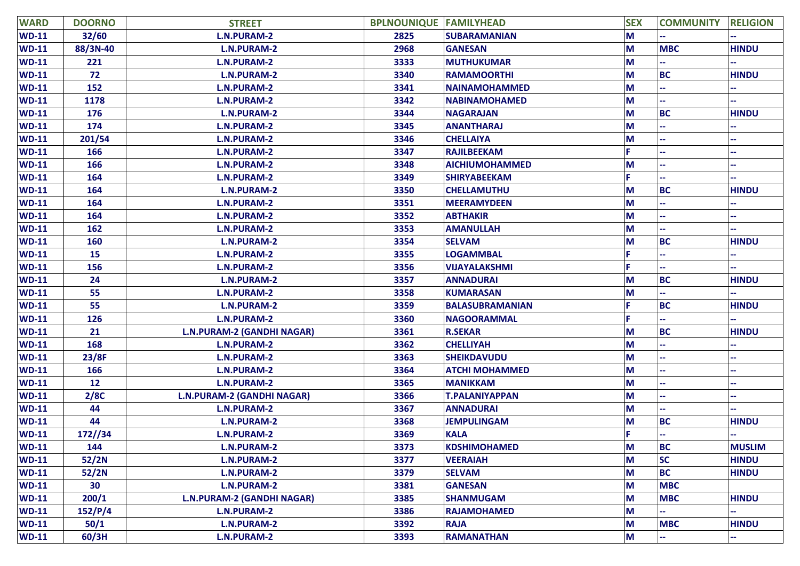| <b>WARD</b> | <b>DOORNO</b> | <b>STREET</b>                     | <b>BPLNOUNIQUE FAMILYHEAD</b> |                        | <b>SEX</b> | <b>COMMUNITY</b> | <b>RELIGION</b> |
|-------------|---------------|-----------------------------------|-------------------------------|------------------------|------------|------------------|-----------------|
| $WD-11$     | 32/60         | <b>L.N.PURAM-2</b>                | 2825                          | <b>SUBARAMANIAN</b>    | M          |                  |                 |
| $WD-11$     | 88/3N-40      | <b>L.N.PURAM-2</b>                | 2968                          | <b>GANESAN</b>         | M          | <b>MBC</b>       | <b>HINDU</b>    |
| $WD-11$     | 221           | <b>L.N.PURAM-2</b>                | 3333                          | <b>MUTHUKUMAR</b>      | M          |                  |                 |
| $WD-11$     | 72            | <b>L.N.PURAM-2</b>                | 3340                          | <b>RAMAMOORTHI</b>     | M          | <b>BC</b>        | <b>HINDU</b>    |
| $WD-11$     | 152           | <b>L.N.PURAM-2</b>                | 3341                          | <b>NAINAMOHAMMED</b>   | M          |                  |                 |
| $WD-11$     | 1178          | <b>L.N.PURAM-2</b>                | 3342                          | <b>NABINAMOHAMED</b>   | M          |                  |                 |
| $WD-11$     | 176           | <b>L.N.PURAM-2</b>                | 3344                          | <b>NAGARAJAN</b>       | M          | <b>BC</b>        | <b>HINDU</b>    |
| $WD-11$     | 174           | <b>L.N.PURAM-2</b>                | 3345                          | <b>ANANTHARAJ</b>      | M          |                  |                 |
| $WD-11$     | 201/54        | <b>L.N.PURAM-2</b>                | 3346                          | <b>CHELLAIYA</b>       | M          |                  |                 |
| $WD-11$     | 166           | <b>L.N.PURAM-2</b>                | 3347                          | <b>RAJILBEEKAM</b>     |            |                  |                 |
| $WD-11$     | 166           | <b>L.N.PURAM-2</b>                | 3348                          | <b>AICHIUMOHAMMED</b>  | M          |                  |                 |
| $WD-11$     | 164           | <b>L.N.PURAM-2</b>                | 3349                          | <b>SHIRYABEEKAM</b>    | F          |                  |                 |
| $WD-11$     | 164           | <b>L.N.PURAM-2</b>                | 3350                          | <b>CHELLAMUTHU</b>     | M          | <b>BC</b>        | <b>HINDU</b>    |
| $WD-11$     | 164           | <b>L.N.PURAM-2</b>                | 3351                          | <b>MEERAMYDEEN</b>     | M          |                  |                 |
| $WD-11$     | 164           | <b>L.N.PURAM-2</b>                | 3352                          | <b>ABTHAKIR</b>        | M          |                  |                 |
| $WD-11$     | 162           | <b>L.N.PURAM-2</b>                | 3353                          | <b>AMANULLAH</b>       | M          |                  |                 |
| $WD-11$     | 160           | <b>L.N.PURAM-2</b>                | 3354                          | <b>SELVAM</b>          | M          | <b>BC</b>        | <b>HINDU</b>    |
| $WD-11$     | 15            | <b>L.N.PURAM-2</b>                | 3355                          | <b>LOGAMMBAL</b>       |            |                  |                 |
| $WD-11$     | 156           | <b>L.N.PURAM-2</b>                | 3356                          | <b>VIJAYALAKSHMI</b>   |            |                  |                 |
| $WD-11$     | 24            | <b>L.N.PURAM-2</b>                | 3357                          | <b>ANNADURAI</b>       | M          | <b>BC</b>        | <b>HINDU</b>    |
| $WD-11$     | 55            | <b>L.N.PURAM-2</b>                | 3358                          | <b>KUMARASAN</b>       | M          |                  |                 |
| $WD-11$     | 55            | <b>L.N.PURAM-2</b>                | 3359                          | <b>BALASUBRAMANIAN</b> | F          | <b>BC</b>        | <b>HINDU</b>    |
| $WD-11$     | 126           | <b>L.N.PURAM-2</b>                | 3360                          | <b>NAGOORAMMAL</b>     |            |                  |                 |
| $WD-11$     | 21            | <b>L.N.PURAM-2 (GANDHI NAGAR)</b> | 3361                          | <b>R.SEKAR</b>         | M          | <b>BC</b>        | <b>HINDU</b>    |
| $WD-11$     | 168           | <b>L.N.PURAM-2</b>                | 3362                          | <b>CHELLIYAH</b>       | M          |                  |                 |
| $WD-11$     | 23/8F         | <b>L.N.PURAM-2</b>                | 3363                          | <b>SHEIKDAVUDU</b>     | M          |                  |                 |
| $WD-11$     | 166           | <b>L.N.PURAM-2</b>                | 3364                          | <b>ATCHI MOHAMMED</b>  | M          |                  |                 |
| $WD-11$     | 12            | <b>L.N.PURAM-2</b>                | 3365                          | <b>MANIKKAM</b>        | M          |                  |                 |
| $WD-11$     | 2/8C          | <b>L.N.PURAM-2 (GANDHI NAGAR)</b> | 3366                          | <b>T.PALANIYAPPAN</b>  | M          |                  |                 |
| $WD-11$     | 44            | <b>L.N.PURAM-2</b>                | 3367                          | <b>ANNADURAI</b>       | M          |                  |                 |
| $WD-11$     | 44            | <b>L.N.PURAM-2</b>                | 3368                          | <b>JEMPULINGAM</b>     | M          | <b>BC</b>        | <b>HINDU</b>    |
| $WD-11$     | 172/34        | <b>L.N.PURAM-2</b>                | 3369                          | <b>KALA</b>            | Ë          |                  |                 |
| $WD-11$     | 144           | <b>L.N.PURAM-2</b>                | 3373                          | <b>KDSHIMOHAMED</b>    | M          | <b>BC</b>        | <b>MUSLIM</b>   |
| $WD-11$     | 52/2N         | <b>L.N.PURAM-2</b>                | 3377                          | <b>VEERAIAH</b>        | M          | <b>SC</b>        | <b>HINDU</b>    |
| $WD-11$     | 52/2N         | <b>L.N.PURAM-2</b>                | 3379                          | <b>SELVAM</b>          | M          | <b>BC</b>        | <b>HINDU</b>    |
| $WD-11$     | 30            | <b>L.N.PURAM-2</b>                | 3381                          | <b>GANESAN</b>         | M          | <b>MBC</b>       |                 |
| $WD-11$     | 200/1         | L.N.PURAM-2 (GANDHI NAGAR)        | 3385                          | <b>SHANMUGAM</b>       | M          | <b>MBC</b>       | <b>HINDU</b>    |
| $WD-11$     | 152/P/4       | L.N.PURAM-2                       | 3386                          | <b>RAJAMOHAMED</b>     | M          |                  |                 |
| $WD-11$     | 50/1          | <b>L.N.PURAM-2</b>                | 3392                          | <b>RAJA</b>            | M          | <b>MBC</b>       | <b>HINDU</b>    |
| $WD-11$     | 60/3H         | <b>L.N.PURAM-2</b>                | 3393                          | <b>RAMANATHAN</b>      | M          |                  |                 |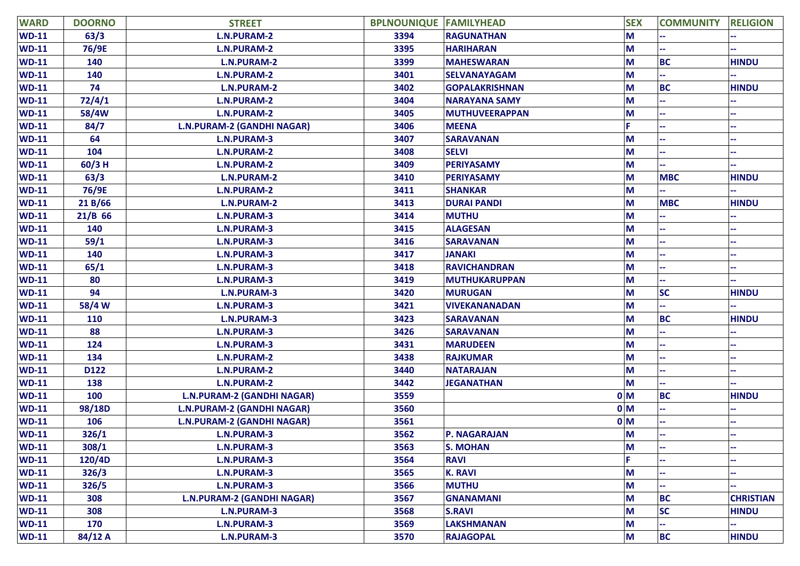| <b>WARD</b>  | <b>DOORNO</b> | <b>STREET</b>                     | <b>BPLNOUNIQUE FAMILYHEAD</b> |                       | <b>SEX</b>     | <b>COMMUNITY</b> | <b>RELIGION</b>  |
|--------------|---------------|-----------------------------------|-------------------------------|-----------------------|----------------|------------------|------------------|
| $WD-11$      | 63/3          | <b>L.N.PURAM-2</b>                | 3394                          | <b>RAGUNATHAN</b>     | M              |                  |                  |
| $WD-11$      | 76/9E         | <b>L.N.PURAM-2</b>                | 3395                          | <b>HARIHARAN</b>      | M              |                  |                  |
| <b>WD-11</b> | 140           | <b>L.N.PURAM-2</b>                | 3399                          | <b>MAHESWARAN</b>     | M              | <b>BC</b>        | <b>HINDU</b>     |
| <b>WD-11</b> | 140           | <b>L.N.PURAM-2</b>                | 3401                          | <b>SELVANAYAGAM</b>   | M              |                  |                  |
| $WD-11$      | 74            | <b>L.N.PURAM-2</b>                | 3402                          | <b>GOPALAKRISHNAN</b> | M              | <b>BC</b>        | <b>HINDU</b>     |
| $WD-11$      | 72/4/1        | <b>L.N.PURAM-2</b>                | 3404                          | <b>NARAYANA SAMY</b>  | M              |                  |                  |
| <b>WD-11</b> | 58/4W         | <b>L.N.PURAM-2</b>                | 3405                          | <b>MUTHUVEERAPPAN</b> | M              |                  |                  |
| <b>WD-11</b> | 84/7          | <b>L.N.PURAM-2 (GANDHI NAGAR)</b> | 3406                          | <b>MEENA</b>          |                |                  |                  |
| <b>WD-11</b> | 64            | <b>L.N.PURAM-3</b>                | 3407                          | <b>SARAVANAN</b>      | M              |                  |                  |
| $WD-11$      | 104           | <b>L.N.PURAM-2</b>                | 3408                          | <b>SELVI</b>          | M              |                  |                  |
| <b>WD-11</b> | $60/3$ H      | <b>L.N.PURAM-2</b>                | 3409                          | <b>PERIYASAMY</b>     | M              |                  |                  |
| <b>WD-11</b> | 63/3          | <b>L.N.PURAM-2</b>                | 3410                          | <b>PERIYASAMY</b>     | M              | <b>MBC</b>       | <b>HINDU</b>     |
| <b>WD-11</b> | 76/9E         | <b>L.N.PURAM-2</b>                | 3411                          | <b>SHANKAR</b>        | M              |                  |                  |
| $WD-11$      | 21 B/66       | <b>L.N.PURAM-2</b>                | 3413                          | <b>DURAI PANDI</b>    | M              | <b>MBC</b>       | <b>HINDU</b>     |
| <b>WD-11</b> | $21/B$ 66     | <b>L.N.PURAM-3</b>                | 3414                          | <b>MUTHU</b>          | M              |                  |                  |
| <b>WD-11</b> | 140           | <b>L.N.PURAM-3</b>                | 3415                          | <b>ALAGESAN</b>       | M              |                  |                  |
| <b>WD-11</b> | 59/1          | <b>L.N.PURAM-3</b>                | 3416                          | <b>SARAVANAN</b>      | M              |                  |                  |
| $WD-11$      | 140           | <b>L.N.PURAM-3</b>                | 3417                          | <b>JANAKI</b>         | M              |                  |                  |
| $WD-11$      | 65/1          | <b>L.N.PURAM-3</b>                | 3418                          | <b>RAVICHANDRAN</b>   | M              |                  |                  |
| <b>WD-11</b> | 80            | <b>L.N.PURAM-3</b>                | 3419                          | <b>MUTHUKARUPPAN</b>  | M              |                  |                  |
| <b>WD-11</b> | 94            | <b>L.N.PURAM-3</b>                | 3420                          | <b>MURUGAN</b>        | M              | <b>SC</b>        | <b>HINDU</b>     |
| $WD-11$      | 58/4 W        | <b>L.N.PURAM-3</b>                | 3421                          | <b>VIVEKANANADAN</b>  | M              |                  |                  |
| <b>WD-11</b> | 110           | <b>L.N.PURAM-3</b>                | 3423                          | <b>SARAVANAN</b>      | M              | <b>BC</b>        | <b>HINDU</b>     |
| <b>WD-11</b> | 88            | <b>L.N.PURAM-3</b>                | 3426                          | <b>SARAVANAN</b>      | M              |                  |                  |
| <b>WD-11</b> | 124           | <b>L.N.PURAM-3</b>                | 3431                          | <b>MARUDEEN</b>       | M              |                  |                  |
| $WD-11$      | 134           | <b>L.N.PURAM-2</b>                | 3438                          | <b>RAJKUMAR</b>       | M              |                  |                  |
| <b>WD-11</b> | D122          | <b>L.N.PURAM-2</b>                | 3440                          | <b>NATARAJAN</b>      | М              |                  |                  |
| <b>WD-11</b> | 138           | <b>L.N.PURAM-2</b>                | 3442                          | <b>JEGANATHAN</b>     | M              |                  |                  |
| <b>WD-11</b> | 100           | <b>L.N.PURAM-2 (GANDHI NAGAR)</b> | 3559                          |                       | 0 <sub>M</sub> | <b>BC</b>        | <b>HINDU</b>     |
| <b>WD-11</b> | 98/18D        | <b>L.N.PURAM-2 (GANDHI NAGAR)</b> | 3560                          |                       | 0 <sub>M</sub> |                  |                  |
| <b>WD-11</b> | 106           | <b>L.N.PURAM-2 (GANDHI NAGAR)</b> | 3561                          |                       | 0 <sub>M</sub> |                  |                  |
| <b>WD-11</b> | 326/1         | <b>L.N.PURAM-3</b>                | 3562                          | P. NAGARAJAN          | M              |                  |                  |
| <b>WD-11</b> | 308/1         | L.N.PURAM-3                       | 3563                          | <b>S. MOHAN</b>       | M              |                  |                  |
| $WD-11$      | 120/4D        | <b>L.N.PURAM-3</b>                | 3564                          | <b>RAVI</b>           |                |                  |                  |
| $WD-11$      | 326/3         | <b>L.N.PURAM-3</b>                | 3565                          | <b>K. RAVI</b>        | M              |                  |                  |
| $WD-11$      | 326/5         | <b>L.N.PURAM-3</b>                | 3566                          | <b>MUTHU</b>          | M              |                  |                  |
| $WD-11$      | 308           | <b>L.N.PURAM-2 (GANDHI NAGAR)</b> | 3567                          | <b>GNANAMANI</b>      | M              | <b>BC</b>        | <b>CHRISTIAN</b> |
| $WD-11$      | 308           | <b>L.N.PURAM-3</b>                | 3568                          | <b>S.RAVI</b>         | M              | <b>SC</b>        | <b>HINDU</b>     |
| $WD-11$      | 170           | <b>L.N.PURAM-3</b>                | 3569                          | <b>LAKSHMANAN</b>     | M              |                  |                  |
| $WD-11$      | 84/12 A       | <b>L.N.PURAM-3</b>                | 3570                          | <b>RAJAGOPAL</b>      | M              | <b>BC</b>        | <b>HINDU</b>     |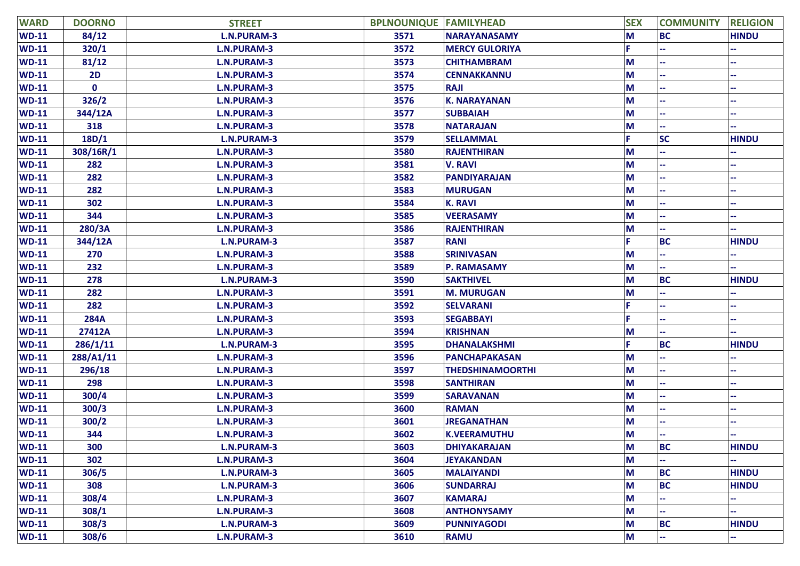| <b>WARD</b>  | <b>DOORNO</b> | <b>STREET</b>      | <b>BPLNOUNIQUE FAMILYHEAD</b> |                         | <b>SEX</b> | <b>COMMUNITY</b> | <b>RELIGION</b> |
|--------------|---------------|--------------------|-------------------------------|-------------------------|------------|------------------|-----------------|
| $WD-11$      | 84/12         | L.N.PURAM-3        | 3571                          | <b>NARAYANASAMY</b>     | M          | <b>BC</b>        | <b>HINDU</b>    |
| $WD-11$      | 320/1         | <b>L.N.PURAM-3</b> | 3572                          | <b>MERCY GULORIYA</b>   |            |                  |                 |
| $WD-11$      | 81/12         | <b>L.N.PURAM-3</b> | 3573                          | <b>CHITHAMBRAM</b>      | М          |                  |                 |
| $WD-11$      | 2D            | <b>L.N.PURAM-3</b> | 3574                          | <b>CENNAKKANNU</b>      | М          |                  | --              |
| $WD-11$      | $\mathbf 0$   | <b>L.N.PURAM-3</b> | 3575                          | <b>RAJI</b>             | М          |                  |                 |
| $WD-11$      | 326/2         | <b>L.N.PURAM-3</b> | 3576                          | <b>K. NARAYANAN</b>     | М          |                  |                 |
| $WD-11$      | 344/12A       | <b>L.N.PURAM-3</b> | 3577                          | <b>SUBBAIAH</b>         | М          |                  |                 |
| $WD-11$      | 318           | <b>L.N.PURAM-3</b> | 3578                          | <b>NATARAJAN</b>        | М          |                  |                 |
| $WD-11$      | 18D/1         | <b>L.N.PURAM-3</b> | 3579                          | <b>SELLAMMAL</b>        |            | <b>SC</b>        | <b>HINDU</b>    |
| <b>WD-11</b> | 308/16R/1     | <b>L.N.PURAM-3</b> | 3580                          | <b>RAJENTHIRAN</b>      | М          |                  |                 |
| $WD-11$      | 282           | <b>L.N.PURAM-3</b> | 3581                          | <b>V. RAVI</b>          | М          |                  |                 |
| $WD-11$      | 282           | <b>L.N.PURAM-3</b> | 3582                          | <b>PANDIYARAJAN</b>     | М          |                  |                 |
| $WD-11$      | 282           | <b>L.N.PURAM-3</b> | 3583                          | <b>MURUGAN</b>          | М          |                  |                 |
| $WD-11$      | 302           | <b>L.N.PURAM-3</b> | 3584                          | <b>K. RAVI</b>          | M          |                  |                 |
| $WD-11$      | 344           | <b>L.N.PURAM-3</b> | 3585                          | <b>VEERASAMY</b>        | М          |                  |                 |
| $WD-11$      | 280/3A        | <b>L.N.PURAM-3</b> | 3586                          | <b>RAJENTHIRAN</b>      | М          |                  |                 |
| $WD-11$      | 344/12A       | <b>L.N.PURAM-3</b> | 3587                          | <b>RANI</b>             |            | <b>BC</b>        | <b>HINDU</b>    |
| <b>WD-11</b> | 270           | <b>L.N.PURAM-3</b> | 3588                          | <b>SRINIVASAN</b>       | M          |                  |                 |
| $WD-11$      | 232           | <b>L.N.PURAM-3</b> | 3589                          | P. RAMASAMY             | М          |                  |                 |
| $WD-11$      | 278           | <b>L.N.PURAM-3</b> | 3590                          | <b>SAKTHIVEL</b>        | М          | <b>BC</b>        | <b>HINDU</b>    |
| $WD-11$      | 282           | <b>L.N.PURAM-3</b> | 3591                          | <b>M. MURUGAN</b>       | M          |                  |                 |
| <b>WD-11</b> | 282           | <b>L.N.PURAM-3</b> | 3592                          | <b>SELVARANI</b>        |            |                  |                 |
| <b>WD-11</b> | <b>284A</b>   | <b>L.N.PURAM-3</b> | 3593                          | <b>SEGABBAYI</b>        |            |                  |                 |
| $WD-11$      | 27412A        | <b>L.N.PURAM-3</b> | 3594                          | <b>KRISHNAN</b>         | М          |                  |                 |
| $WD-11$      | 286/1/11      | <b>L.N.PURAM-3</b> | 3595                          | <b>DHANALAKSHMI</b>     |            | <b>BC</b>        | <b>HINDU</b>    |
| <b>WD-11</b> | 288/A1/11     | <b>L.N.PURAM-3</b> | 3596                          | <b>PANCHAPAKASAN</b>    | M          |                  |                 |
| $WD-11$      | 296/18        | <b>L.N.PURAM-3</b> | 3597                          | <b>THEDSHINAMOORTHI</b> | М          |                  |                 |
| $WD-11$      | 298           | <b>L.N.PURAM-3</b> | 3598                          | <b>SANTHIRAN</b>        | М          |                  |                 |
| $WD-11$      | 300/4         | <b>L.N.PURAM-3</b> | 3599                          | <b>SARAVANAN</b>        | М          |                  |                 |
| $WD-11$      | 300/3         | <b>L.N.PURAM-3</b> | 3600                          | <b>RAMAN</b>            | M          |                  |                 |
| $WD-11$      | 300/2         | <b>L.N.PURAM-3</b> | 3601                          | <b>JREGANATHAN</b>      | М          |                  |                 |
| $WD-11$      | 344           | <b>L.N.PURAM-3</b> | 3602                          | <b>K.VEERAMUTHU</b>     | M          |                  |                 |
| <b>WD-11</b> | 300           | L.N.PURAM-3        | 3603                          | <b>DHIYAKARAJAN</b>     | M          | <b>BC</b>        | <b>HINDU</b>    |
| $WD-11$      | 302           | L.N.PURAM-3        | 3604                          | <b>JEYAKANDAN</b>       | M          |                  |                 |
| $WD-11$      | 306/5         | <b>L.N.PURAM-3</b> | 3605                          | <b>MALAIYANDI</b>       | M          | <b>BC</b>        | <b>HINDU</b>    |
| $WD-11$      | 308           | <b>L.N.PURAM-3</b> | 3606                          | <b>SUNDARRAJ</b>        | M          | <b>BC</b>        | <b>HINDU</b>    |
| $WD-11$      | 308/4         | <b>L.N.PURAM-3</b> | 3607                          | <b>KAMARAJ</b>          | M          |                  |                 |
| $WD-11$      | 308/1         | L.N.PURAM-3        | 3608                          | <b>ANTHONYSAMY</b>      | M          |                  |                 |
| $WD-11$      | 308/3         | <b>L.N.PURAM-3</b> | 3609                          | <b>PUNNIYAGODI</b>      | M          | <b>BC</b>        | <b>HINDU</b>    |
| $WD-11$      | 308/6         | L.N.PURAM-3        | 3610                          | <b>RAMU</b>             | M          | ä,               |                 |